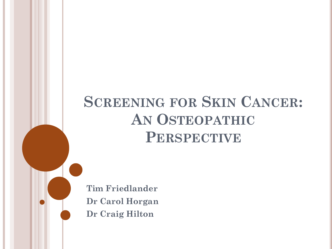# **SCREENING FOR SKIN CANCER: AN OSTEOPATHIC PERSPECTIVE**

**Tim Friedlander Dr Carol Horgan Dr Craig Hilton**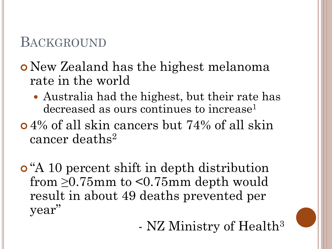# BACKGROUND

# New Zealand has the highest melanoma rate in the world

- Australia had the highest, but their rate has decreased as ours continues to increase<sup>1</sup>
- 4% of all skin cancers but 74% of all skin cancer deaths<sup>2</sup>
- "A 10 percent shift in depth distribution from  $\geq 0.75$ mm to <0.75mm depth would result in about 49 deaths prevented per year"
	- NZ Ministry of Health<sup>3</sup>

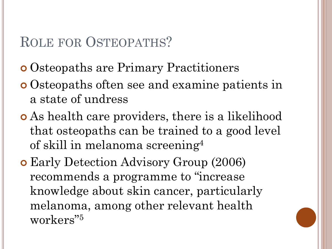# ROLE FOR OSTEOPATHS?

- Osteopaths are Primary Practitioners
- Osteopaths often see and examine patients in a state of undress
- As health care providers, there is a likelihood that osteopaths can be trained to a good level of skill in melanoma screening<sup>4</sup>
- Early Detection Advisory Group (2006) recommends a programme to "increase knowledge about skin cancer, particularly melanoma, among other relevant health workers"5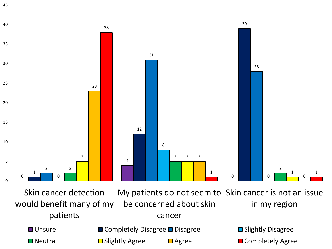

Skin cancer detection would benefit many of my patients

My patients do not seem to Skin cancer is not an issue be concerned about skin cancer in my region

- 
- Unsure Completely Disagree Disagree Slightly Disagree
- $\Box$  Neutral  $\Box$  Slightly Agree  $\Box$  Agree  $\Box$  Completely Agree
-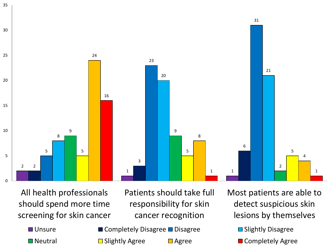

All health professionals should spend more time screening for skin cancer

- Patients should take full responsibility for skin cancer recognition
- Unsure Completely Disagree Disagree Slightly Disagree
	-
- 

Most patients are able to detect suspicious skin lesions by themselves

 $\Box$  Neutral  $\Box$  Slightly Agree  $\Box$  Agree  $\Box$  Completely Agree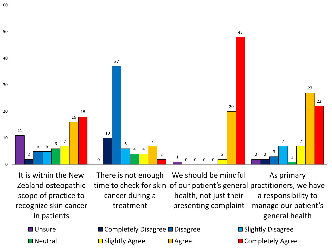

It is within the New Zealand osteopathic scope of practice to recognize skin cancer in patients

There is not enough time to check for skin of our patient's general practitioners, we have cancer during a treatment We should be mindful health, not just their presenting complaint As primary a responsibility to manage our patient's general health

■ Unsure ■ Completely Disagree ■ Disagree ■ Slightly Disagree

 $\Box$  Neutral  $\Box$  Slightly Agree  $\Box$  Agree  $\Box$  Completely Agree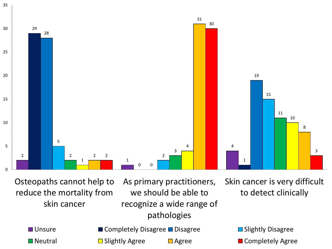

Osteopaths cannot help to reduce the mortality from skin cancer

we should be able to recognize a wide range of pathologies

As primary practitioners, Skin cancer is very difficult to detect clinically

- Unsure Completely Disagree Disagree Slightly Disagree
- $\Box$  Neutral  $\Box$  Slightly Agree  $\Box$  Agree  $\Box$  Completely Agree
-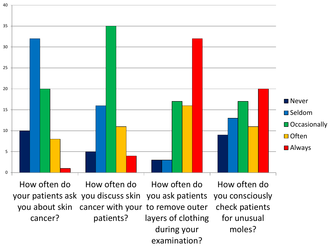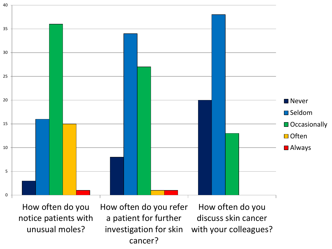

How often do you notice patients with unusual moles?

How often do you refer a patient for further investigation for skin cancer? How often do you discuss skin cancer with your colleagues?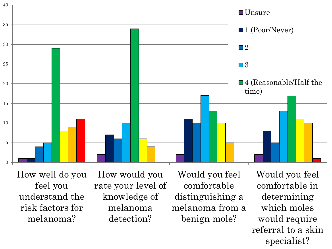

How well do you feel you understand the risk factors for melanoma?

How would you rate your level of knowledge of melanoma detection?

Would you feel comfortable distinguishing a melanoma from a benign mole?

Would you feel comfortable in determining which moles would require referral to a skin specialist?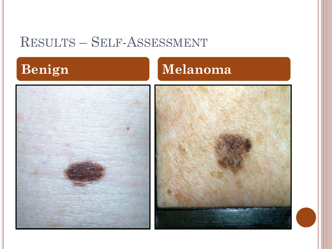# RESULTS – SELF-ASSESSMENT





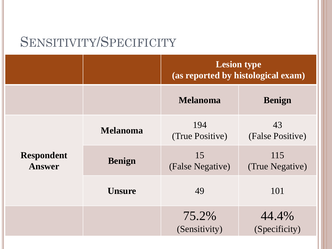# SENSITIVITY/SPECIFICITY

|                                    |                 | <b>Lesion type</b><br>(as reported by histological exam) |                        |
|------------------------------------|-----------------|----------------------------------------------------------|------------------------|
|                                    |                 | <b>Melanoma</b>                                          | <b>Benign</b>          |
| <b>Respondent</b><br><b>Answer</b> | <b>Melanoma</b> | 194<br>(True Positive)                                   | 43<br>(False Positive) |
|                                    | <b>Benign</b>   | 15<br>(False Negative)                                   | 115<br>(True Negative) |
|                                    | <b>Unsure</b>   | 49                                                       | 101                    |
|                                    |                 | 75.2%<br>(Sensitivity)                                   | 44.4%<br>(Specificity) |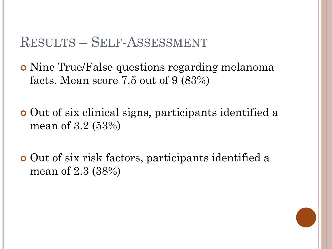#### RESULTS – SELF-ASSESSMENT

 Nine True/False questions regarding melanoma facts. Mean score 7.5 out of 9 (83%)

 Out of six clinical signs, participants identified a mean of 3.2 (53%)

 Out of six risk factors, participants identified a mean of 2.3 (38%)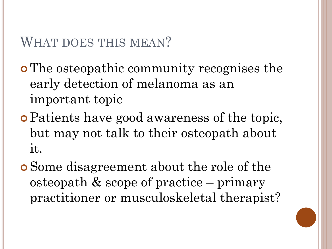# WHAT DOES THIS MEAN?

 The osteopathic community recognises the early detection of melanoma as an important topic

- Patients have good awareness of the topic, but may not talk to their osteopath about it.
- Some disagreement about the role of the osteopath & scope of practice – primary practitioner or musculoskeletal therapist?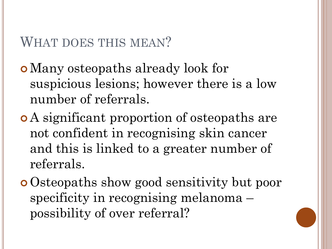## WHAT DOES THIS MEAN?

Many osteopaths already look for suspicious lesions; however there is a low number of referrals.

- A significant proportion of osteopaths are not confident in recognising skin cancer and this is linked to a greater number of referrals.
- Osteopaths show good sensitivity but poor specificity in recognising melanoma – possibility of over referral?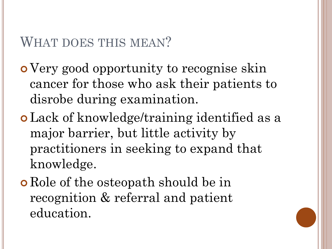### WHAT DOES THIS MEAN?

 Very good opportunity to recognise skin cancer for those who ask their patients to disrobe during examination.

- Lack of knowledge/training identified as a major barrier, but little activity by practitioners in seeking to expand that knowledge.
- **o** Role of the osteopath should be in recognition & referral and patient education.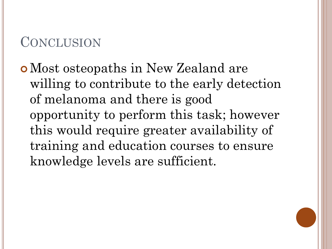# **CONCLUSION**

Most osteopaths in New Zealand are willing to contribute to the early detection of melanoma and there is good opportunity to perform this task; however this would require greater availability of training and education courses to ensure knowledge levels are sufficient.